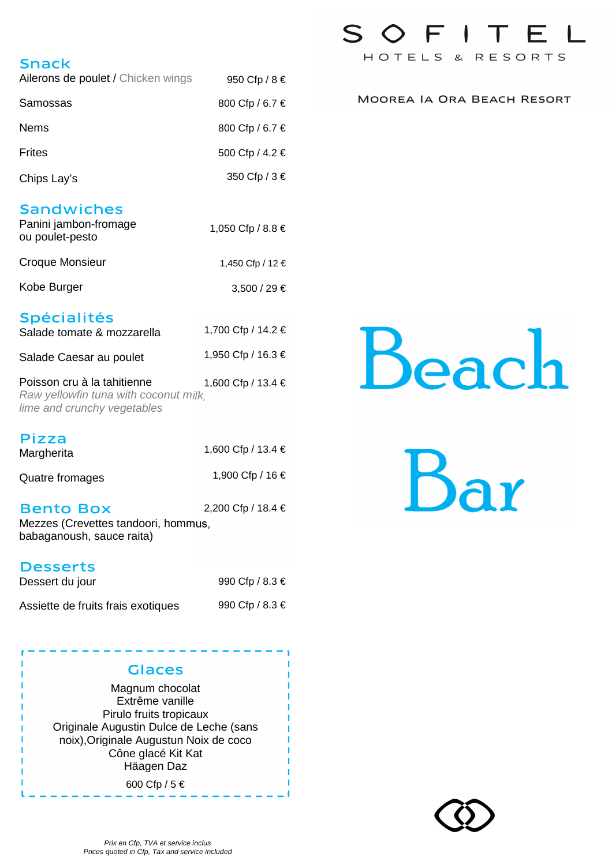# Snack

| Ailerons de poulet / Chicken wings | 950 Cfp / 8 €   |
|------------------------------------|-----------------|
| Samossas                           | 800 Cfp / 6.7 € |
| <b>Nems</b>                        | 800 Cfp / 6.7 € |
| <b>Frites</b>                      | 500 Cfp / 4.2 € |
| Chips Lay's                        | 350 Cfp / 3 €   |

# **Sandwiches**

| Panini jambon-fromage<br>ou poulet-pesto | 1,050 Cfp / 8.8 € |
|------------------------------------------|-------------------|
| Croque Monsieur                          | 1,450 Cfp / 12 €  |
| Kobe Burger                              | $3,500 / 29 \in$  |

# Spécialités

| Salade tomate & mozzarella  | 1,700 Cfp / 14.2 € |
|-----------------------------|--------------------|
| Salade Caesar au poulet     | 1,950 Cfp / 16.3 € |
| Poisson cru à la tahitienne | 1,600 Cfp / 13.4 € |

Raw yellowfin tuna with coconut milk, lime and crunchy vegetables

| <b>Pizza</b><br>Margherita | 1,600 Cfp / 13.4 € |
|----------------------------|--------------------|
| Quatre fromages            | 1,900 Cfp / 16 €   |
|                            | 0.00000110010      |

Bento Box Mezzes (Crevettes tandoori, hommus, babaganoush, sauce raita) 2,200 Cfp / 18.4 €

## **Desserts**

| Dessert du jour                    | 990 Cfp / 8.3 $\in$ |
|------------------------------------|---------------------|
| Assiette de fruits frais exotiques | 990 Cfp / 8.3 $\in$ |



600 Cfp / 5 €

# SOFITEL HOTELS & RESORTS

MOOREA IA ORA BEACH RESORT

# Beac.